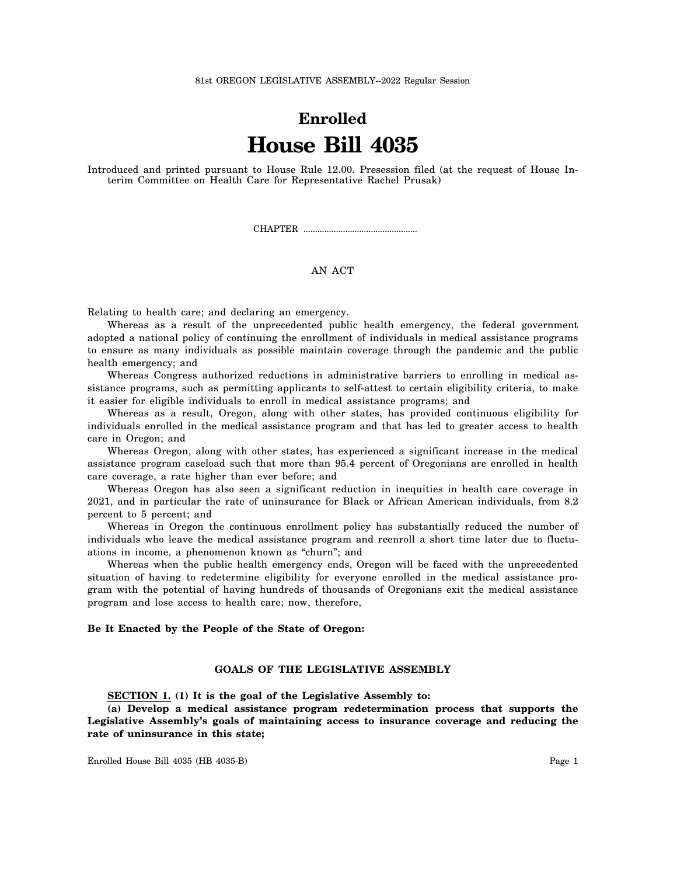# **Enrolled House Bill 4035**

Introduced and printed pursuant to House Rule 12.00. Presession filed (at the request of House Interim Committee on Health Care for Representative Rachel Prusak)

CHAPTER .................................................

## AN ACT

Relating to health care; and declaring an emergency.

Whereas as a result of the unprecedented public health emergency, the federal government adopted a national policy of continuing the enrollment of individuals in medical assistance programs to ensure as many individuals as possible maintain coverage through the pandemic and the public health emergency; and

Whereas Congress authorized reductions in administrative barriers to enrolling in medical assistance programs, such as permitting applicants to self-attest to certain eligibility criteria, to make it easier for eligible individuals to enroll in medical assistance programs; and

Whereas as a result, Oregon, along with other states, has provided continuous eligibility for individuals enrolled in the medical assistance program and that has led to greater access to health care in Oregon; and

Whereas Oregon, along with other states, has experienced a significant increase in the medical assistance program caseload such that more than 95.4 percent of Oregonians are enrolled in health care coverage, a rate higher than ever before; and

Whereas Oregon has also seen a significant reduction in inequities in health care coverage in 2021, and in particular the rate of uninsurance for Black or African American individuals, from 8.2 percent to 5 percent; and

Whereas in Oregon the continuous enrollment policy has substantially reduced the number of individuals who leave the medical assistance program and reenroll a short time later due to fluctuations in income, a phenomenon known as "churn"; and

Whereas when the public health emergency ends, Oregon will be faced with the unprecedented situation of having to redetermine eligibility for everyone enrolled in the medical assistance program with the potential of having hundreds of thousands of Oregonians exit the medical assistance program and lose access to health care; now, therefore,

### **Be It Enacted by the People of the State of Oregon:**

## **GOALS OF THE LEGISLATIVE ASSEMBLY**

**SECTION 1. (1) It is the goal of the Legislative Assembly to:**

**(a) Develop a medical assistance program redetermination process that supports the Legislative Assembly's goals of maintaining access to insurance coverage and reducing the rate of uninsurance in this state;**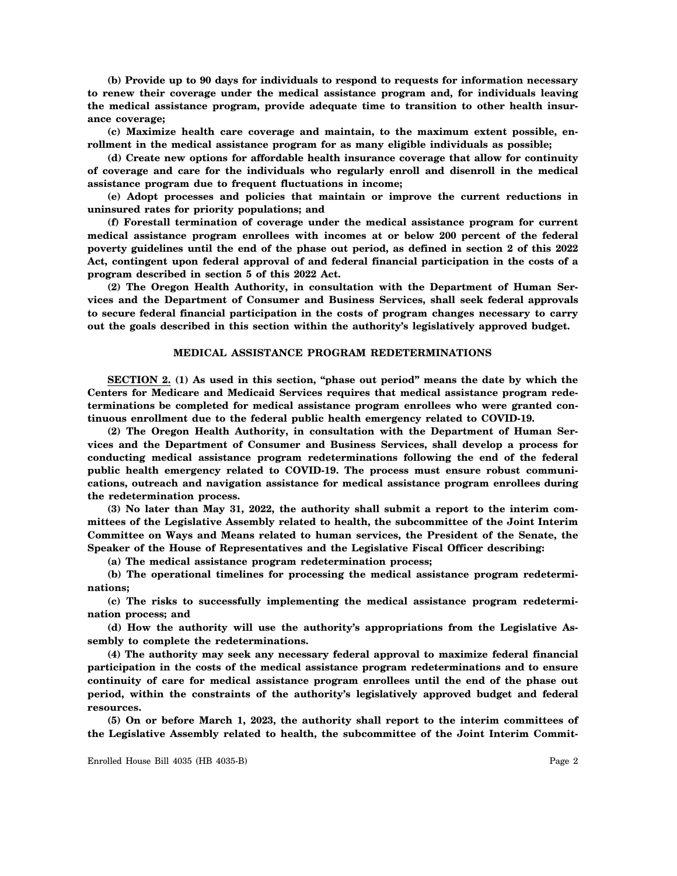**(b) Provide up to 90 days for individuals to respond to requests for information necessary to renew their coverage under the medical assistance program and, for individuals leaving the medical assistance program, provide adequate time to transition to other health insurance coverage;**

**(c) Maximize health care coverage and maintain, to the maximum extent possible, enrollment in the medical assistance program for as many eligible individuals as possible;**

**(d) Create new options for affordable health insurance coverage that allow for continuity of coverage and care for the individuals who regularly enroll and disenroll in the medical assistance program due to frequent fluctuations in income;**

**(e) Adopt processes and policies that maintain or improve the current reductions in uninsured rates for priority populations; and**

**(f) Forestall termination of coverage under the medical assistance program for current medical assistance program enrollees with incomes at or below 200 percent of the federal poverty guidelines until the end of the phase out period, as defined in section 2 of this 2022 Act, contingent upon federal approval of and federal financial participation in the costs of a program described in section 5 of this 2022 Act.**

**(2) The Oregon Health Authority, in consultation with the Department of Human Services and the Department of Consumer and Business Services, shall seek federal approvals to secure federal financial participation in the costs of program changes necessary to carry out the goals described in this section within the authority's legislatively approved budget.**

#### **MEDICAL ASSISTANCE PROGRAM REDETERMINATIONS**

**SECTION 2. (1) As used in this section, "phase out period" means the date by which the Centers for Medicare and Medicaid Services requires that medical assistance program redeterminations be completed for medical assistance program enrollees who were granted continuous enrollment due to the federal public health emergency related to COVID-19.**

**(2) The Oregon Health Authority, in consultation with the Department of Human Services and the Department of Consumer and Business Services, shall develop a process for conducting medical assistance program redeterminations following the end of the federal public health emergency related to COVID-19. The process must ensure robust communications, outreach and navigation assistance for medical assistance program enrollees during the redetermination process.**

**(3) No later than May 31, 2022, the authority shall submit a report to the interim committees of the Legislative Assembly related to health, the subcommittee of the Joint Interim Committee on Ways and Means related to human services, the President of the Senate, the Speaker of the House of Representatives and the Legislative Fiscal Officer describing:**

**(a) The medical assistance program redetermination process;**

**(b) The operational timelines for processing the medical assistance program redeterminations;**

**(c) The risks to successfully implementing the medical assistance program redetermination process; and**

**(d) How the authority will use the authority's appropriations from the Legislative Assembly to complete the redeterminations.**

**(4) The authority may seek any necessary federal approval to maximize federal financial participation in the costs of the medical assistance program redeterminations and to ensure continuity of care for medical assistance program enrollees until the end of the phase out period, within the constraints of the authority's legislatively approved budget and federal resources.**

**(5) On or before March 1, 2023, the authority shall report to the interim committees of the Legislative Assembly related to health, the subcommittee of the Joint Interim Commit-**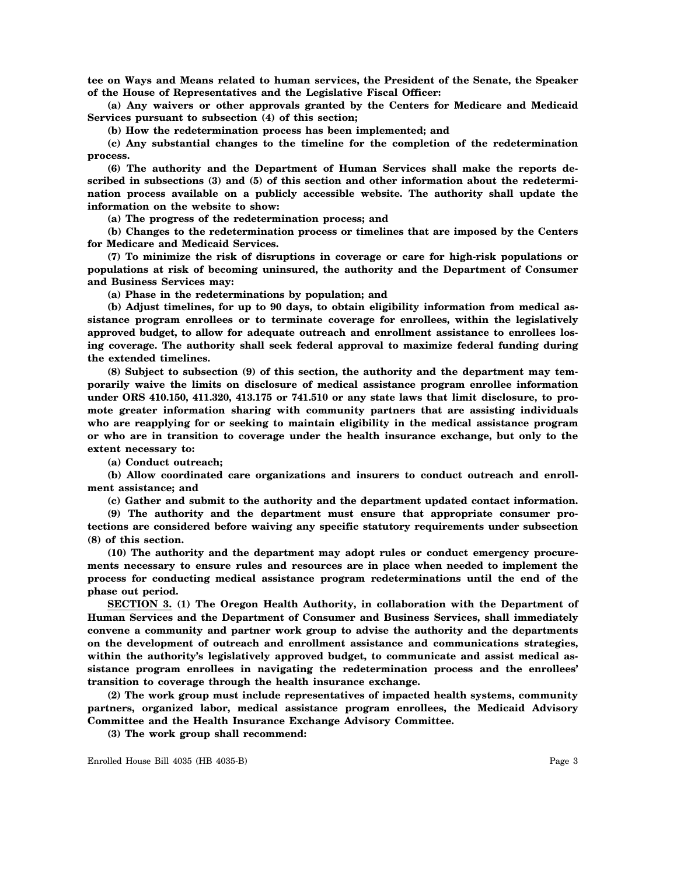**tee on Ways and Means related to human services, the President of the Senate, the Speaker of the House of Representatives and the Legislative Fiscal Officer:**

**(a) Any waivers or other approvals granted by the Centers for Medicare and Medicaid Services pursuant to subsection (4) of this section;**

**(b) How the redetermination process has been implemented; and**

**(c) Any substantial changes to the timeline for the completion of the redetermination process.**

**(6) The authority and the Department of Human Services shall make the reports described in subsections (3) and (5) of this section and other information about the redetermination process available on a publicly accessible website. The authority shall update the information on the website to show:**

**(a) The progress of the redetermination process; and**

**(b) Changes to the redetermination process or timelines that are imposed by the Centers for Medicare and Medicaid Services.**

**(7) To minimize the risk of disruptions in coverage or care for high-risk populations or populations at risk of becoming uninsured, the authority and the Department of Consumer and Business Services may:**

**(a) Phase in the redeterminations by population; and**

**(b) Adjust timelines, for up to 90 days, to obtain eligibility information from medical assistance program enrollees or to terminate coverage for enrollees, within the legislatively approved budget, to allow for adequate outreach and enrollment assistance to enrollees losing coverage. The authority shall seek federal approval to maximize federal funding during the extended timelines.**

**(8) Subject to subsection (9) of this section, the authority and the department may temporarily waive the limits on disclosure of medical assistance program enrollee information under ORS 410.150, 411.320, 413.175 or 741.510 or any state laws that limit disclosure, to promote greater information sharing with community partners that are assisting individuals who are reapplying for or seeking to maintain eligibility in the medical assistance program or who are in transition to coverage under the health insurance exchange, but only to the extent necessary to:**

**(a) Conduct outreach;**

**(b) Allow coordinated care organizations and insurers to conduct outreach and enrollment assistance; and**

**(c) Gather and submit to the authority and the department updated contact information.**

**(9) The authority and the department must ensure that appropriate consumer protections are considered before waiving any specific statutory requirements under subsection (8) of this section.**

**(10) The authority and the department may adopt rules or conduct emergency procurements necessary to ensure rules and resources are in place when needed to implement the process for conducting medical assistance program redeterminations until the end of the phase out period.**

**SECTION 3. (1) The Oregon Health Authority, in collaboration with the Department of Human Services and the Department of Consumer and Business Services, shall immediately convene a community and partner work group to advise the authority and the departments on the development of outreach and enrollment assistance and communications strategies, within the authority's legislatively approved budget, to communicate and assist medical assistance program enrollees in navigating the redetermination process and the enrollees' transition to coverage through the health insurance exchange.**

**(2) The work group must include representatives of impacted health systems, community partners, organized labor, medical assistance program enrollees, the Medicaid Advisory Committee and the Health Insurance Exchange Advisory Committee.**

**(3) The work group shall recommend:**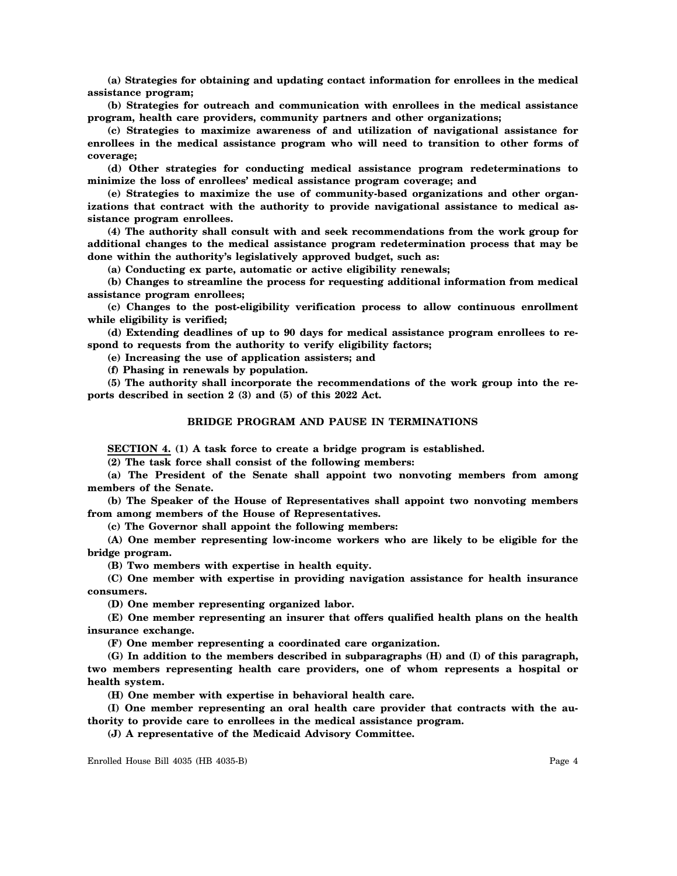**(a) Strategies for obtaining and updating contact information for enrollees in the medical assistance program;**

**(b) Strategies for outreach and communication with enrollees in the medical assistance program, health care providers, community partners and other organizations;**

**(c) Strategies to maximize awareness of and utilization of navigational assistance for enrollees in the medical assistance program who will need to transition to other forms of coverage;**

**(d) Other strategies for conducting medical assistance program redeterminations to minimize the loss of enrollees' medical assistance program coverage; and**

**(e) Strategies to maximize the use of community-based organizations and other organizations that contract with the authority to provide navigational assistance to medical assistance program enrollees.**

**(4) The authority shall consult with and seek recommendations from the work group for additional changes to the medical assistance program redetermination process that may be done within the authority's legislatively approved budget, such as:**

**(a) Conducting ex parte, automatic or active eligibility renewals;**

**(b) Changes to streamline the process for requesting additional information from medical assistance program enrollees;**

**(c) Changes to the post-eligibility verification process to allow continuous enrollment while eligibility is verified;**

**(d) Extending deadlines of up to 90 days for medical assistance program enrollees to respond to requests from the authority to verify eligibility factors;**

**(e) Increasing the use of application assisters; and**

**(f) Phasing in renewals by population.**

**(5) The authority shall incorporate the recommendations of the work group into the reports described in section 2 (3) and (5) of this 2022 Act.**

## **BRIDGE PROGRAM AND PAUSE IN TERMINATIONS**

**SECTION 4. (1) A task force to create a bridge program is established.**

**(2) The task force shall consist of the following members:**

**(a) The President of the Senate shall appoint two nonvoting members from among members of the Senate.**

**(b) The Speaker of the House of Representatives shall appoint two nonvoting members from among members of the House of Representatives.**

**(c) The Governor shall appoint the following members:**

**(A) One member representing low-income workers who are likely to be eligible for the bridge program.**

**(B) Two members with expertise in health equity.**

**(C) One member with expertise in providing navigation assistance for health insurance consumers.**

**(D) One member representing organized labor.**

**(E) One member representing an insurer that offers qualified health plans on the health insurance exchange.**

**(F) One member representing a coordinated care organization.**

**(G) In addition to the members described in subparagraphs (H) and (I) of this paragraph, two members representing health care providers, one of whom represents a hospital or health system.**

**(H) One member with expertise in behavioral health care.**

**(I) One member representing an oral health care provider that contracts with the authority to provide care to enrollees in the medical assistance program.**

**(J) A representative of the Medicaid Advisory Committee.**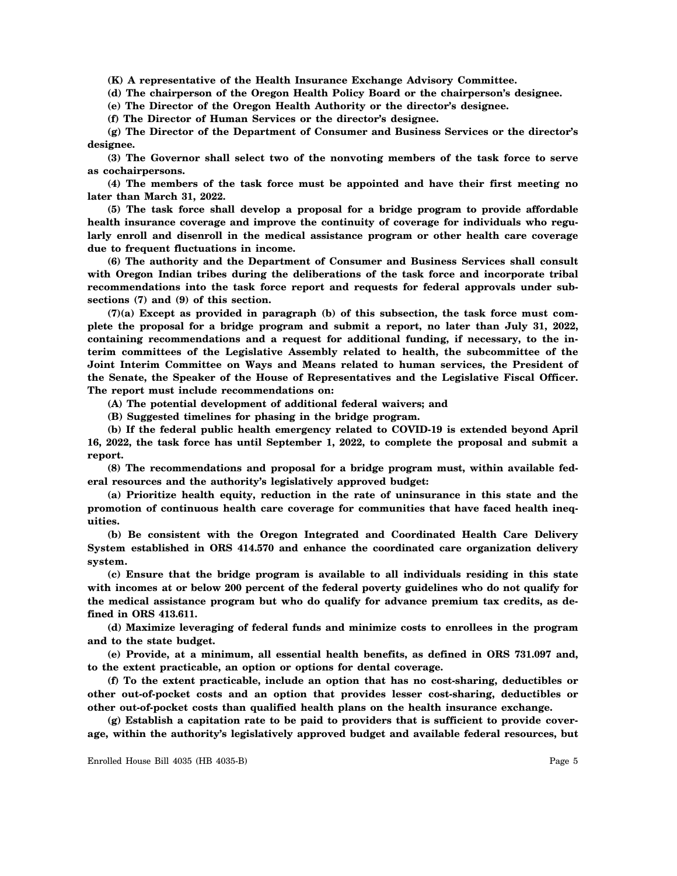**(K) A representative of the Health Insurance Exchange Advisory Committee.**

**(d) The chairperson of the Oregon Health Policy Board or the chairperson's designee.**

**(e) The Director of the Oregon Health Authority or the director's designee.**

**(f) The Director of Human Services or the director's designee.**

**(g) The Director of the Department of Consumer and Business Services or the director's designee.**

**(3) The Governor shall select two of the nonvoting members of the task force to serve as cochairpersons.**

**(4) The members of the task force must be appointed and have their first meeting no later than March 31, 2022.**

**(5) The task force shall develop a proposal for a bridge program to provide affordable health insurance coverage and improve the continuity of coverage for individuals who regularly enroll and disenroll in the medical assistance program or other health care coverage due to frequent fluctuations in income.**

**(6) The authority and the Department of Consumer and Business Services shall consult with Oregon Indian tribes during the deliberations of the task force and incorporate tribal recommendations into the task force report and requests for federal approvals under subsections (7) and (9) of this section.**

**(7)(a) Except as provided in paragraph (b) of this subsection, the task force must complete the proposal for a bridge program and submit a report, no later than July 31, 2022, containing recommendations and a request for additional funding, if necessary, to the interim committees of the Legislative Assembly related to health, the subcommittee of the Joint Interim Committee on Ways and Means related to human services, the President of the Senate, the Speaker of the House of Representatives and the Legislative Fiscal Officer. The report must include recommendations on:**

**(A) The potential development of additional federal waivers; and**

**(B) Suggested timelines for phasing in the bridge program.**

**(b) If the federal public health emergency related to COVID-19 is extended beyond April 16, 2022, the task force has until September 1, 2022, to complete the proposal and submit a report.**

**(8) The recommendations and proposal for a bridge program must, within available federal resources and the authority's legislatively approved budget:**

**(a) Prioritize health equity, reduction in the rate of uninsurance in this state and the promotion of continuous health care coverage for communities that have faced health inequities.**

**(b) Be consistent with the Oregon Integrated and Coordinated Health Care Delivery System established in ORS 414.570 and enhance the coordinated care organization delivery system.**

**(c) Ensure that the bridge program is available to all individuals residing in this state with incomes at or below 200 percent of the federal poverty guidelines who do not qualify for the medical assistance program but who do qualify for advance premium tax credits, as defined in ORS 413.611.**

**(d) Maximize leveraging of federal funds and minimize costs to enrollees in the program and to the state budget.**

**(e) Provide, at a minimum, all essential health benefits, as defined in ORS 731.097 and, to the extent practicable, an option or options for dental coverage.**

**(f) To the extent practicable, include an option that has no cost-sharing, deductibles or other out-of-pocket costs and an option that provides lesser cost-sharing, deductibles or other out-of-pocket costs than qualified health plans on the health insurance exchange.**

**(g) Establish a capitation rate to be paid to providers that is sufficient to provide coverage, within the authority's legislatively approved budget and available federal resources, but**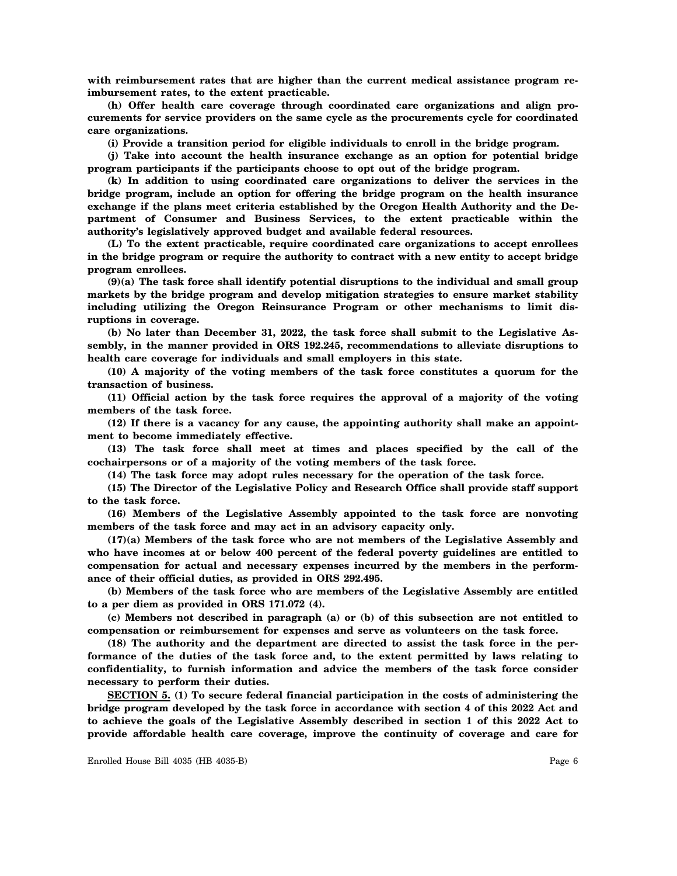**with reimbursement rates that are higher than the current medical assistance program reimbursement rates, to the extent practicable.**

**(h) Offer health care coverage through coordinated care organizations and align procurements for service providers on the same cycle as the procurements cycle for coordinated care organizations.**

**(i) Provide a transition period for eligible individuals to enroll in the bridge program.**

**(j) Take into account the health insurance exchange as an option for potential bridge program participants if the participants choose to opt out of the bridge program.**

**(k) In addition to using coordinated care organizations to deliver the services in the bridge program, include an option for offering the bridge program on the health insurance exchange if the plans meet criteria established by the Oregon Health Authority and the Department of Consumer and Business Services, to the extent practicable within the authority's legislatively approved budget and available federal resources.**

**(L) To the extent practicable, require coordinated care organizations to accept enrollees in the bridge program or require the authority to contract with a new entity to accept bridge program enrollees.**

**(9)(a) The task force shall identify potential disruptions to the individual and small group markets by the bridge program and develop mitigation strategies to ensure market stability including utilizing the Oregon Reinsurance Program or other mechanisms to limit disruptions in coverage.**

**(b) No later than December 31, 2022, the task force shall submit to the Legislative Assembly, in the manner provided in ORS 192.245, recommendations to alleviate disruptions to health care coverage for individuals and small employers in this state.**

**(10) A majority of the voting members of the task force constitutes a quorum for the transaction of business.**

**(11) Official action by the task force requires the approval of a majority of the voting members of the task force.**

**(12) If there is a vacancy for any cause, the appointing authority shall make an appointment to become immediately effective.**

**(13) The task force shall meet at times and places specified by the call of the cochairpersons or of a majority of the voting members of the task force.**

**(14) The task force may adopt rules necessary for the operation of the task force.**

**(15) The Director of the Legislative Policy and Research Office shall provide staff support to the task force.**

**(16) Members of the Legislative Assembly appointed to the task force are nonvoting members of the task force and may act in an advisory capacity only.**

**(17)(a) Members of the task force who are not members of the Legislative Assembly and who have incomes at or below 400 percent of the federal poverty guidelines are entitled to compensation for actual and necessary expenses incurred by the members in the performance of their official duties, as provided in ORS 292.495.**

**(b) Members of the task force who are members of the Legislative Assembly are entitled to a per diem as provided in ORS 171.072 (4).**

**(c) Members not described in paragraph (a) or (b) of this subsection are not entitled to compensation or reimbursement for expenses and serve as volunteers on the task force.**

**(18) The authority and the department are directed to assist the task force in the performance of the duties of the task force and, to the extent permitted by laws relating to confidentiality, to furnish information and advice the members of the task force consider necessary to perform their duties.**

**SECTION 5. (1) To secure federal financial participation in the costs of administering the bridge program developed by the task force in accordance with section 4 of this 2022 Act and to achieve the goals of the Legislative Assembly described in section 1 of this 2022 Act to provide affordable health care coverage, improve the continuity of coverage and care for**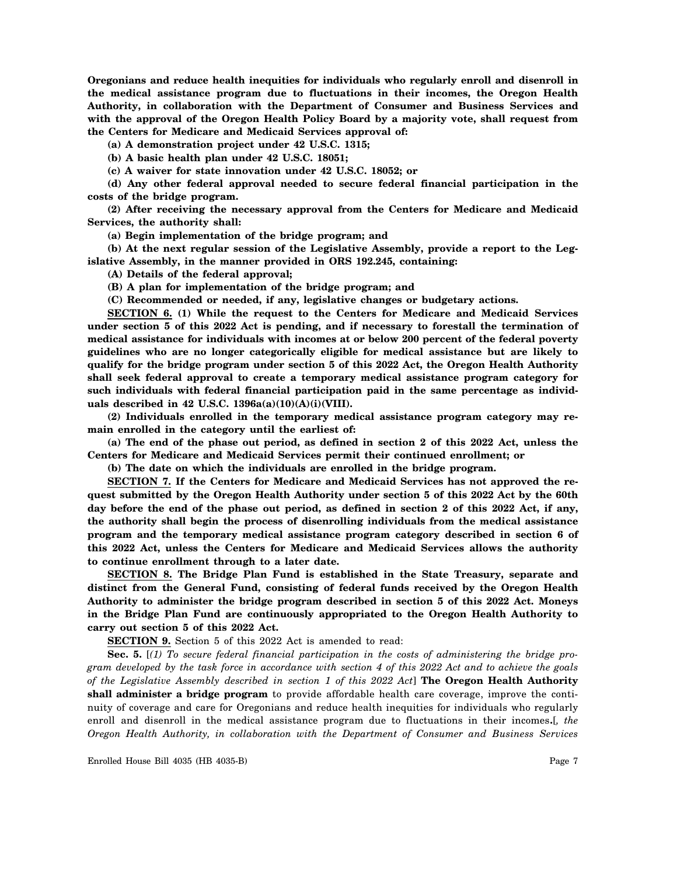**Oregonians and reduce health inequities for individuals who regularly enroll and disenroll in the medical assistance program due to fluctuations in their incomes, the Oregon Health Authority, in collaboration with the Department of Consumer and Business Services and with the approval of the Oregon Health Policy Board by a majority vote, shall request from the Centers for Medicare and Medicaid Services approval of:**

**(a) A demonstration project under 42 U.S.C. 1315;**

**(b) A basic health plan under 42 U.S.C. 18051;**

**(c) A waiver for state innovation under 42 U.S.C. 18052; or**

**(d) Any other federal approval needed to secure federal financial participation in the costs of the bridge program.**

**(2) After receiving the necessary approval from the Centers for Medicare and Medicaid Services, the authority shall:**

**(a) Begin implementation of the bridge program; and**

**(b) At the next regular session of the Legislative Assembly, provide a report to the Legislative Assembly, in the manner provided in ORS 192.245, containing:**

**(A) Details of the federal approval;**

**(B) A plan for implementation of the bridge program; and**

**(C) Recommended or needed, if any, legislative changes or budgetary actions.**

**SECTION 6. (1) While the request to the Centers for Medicare and Medicaid Services under section 5 of this 2022 Act is pending, and if necessary to forestall the termination of medical assistance for individuals with incomes at or below 200 percent of the federal poverty guidelines who are no longer categorically eligible for medical assistance but are likely to qualify for the bridge program under section 5 of this 2022 Act, the Oregon Health Authority shall seek federal approval to create a temporary medical assistance program category for such individuals with federal financial participation paid in the same percentage as individuals described in 42 U.S.C. 1396a(a)(10)(A)(i)(VIII).**

**(2) Individuals enrolled in the temporary medical assistance program category may remain enrolled in the category until the earliest of:**

**(a) The end of the phase out period, as defined in section 2 of this 2022 Act, unless the Centers for Medicare and Medicaid Services permit their continued enrollment; or**

**(b) The date on which the individuals are enrolled in the bridge program.**

**SECTION 7. If the Centers for Medicare and Medicaid Services has not approved the request submitted by the Oregon Health Authority under section 5 of this 2022 Act by the 60th day before the end of the phase out period, as defined in section 2 of this 2022 Act, if any, the authority shall begin the process of disenrolling individuals from the medical assistance program and the temporary medical assistance program category described in section 6 of this 2022 Act, unless the Centers for Medicare and Medicaid Services allows the authority to continue enrollment through to a later date.**

**SECTION 8. The Bridge Plan Fund is established in the State Treasury, separate and distinct from the General Fund, consisting of federal funds received by the Oregon Health Authority to administer the bridge program described in section 5 of this 2022 Act. Moneys in the Bridge Plan Fund are continuously appropriated to the Oregon Health Authority to carry out section 5 of this 2022 Act.**

**SECTION 9.** Section 5 of this 2022 Act is amended to read:

**Sec. 5.** [*(1) To secure federal financial participation in the costs of administering the bridge program developed by the task force in accordance with section 4 of this 2022 Act and to achieve the goals of the Legislative Assembly described in section 1 of this 2022 Act*] **The Oregon Health Authority shall administer a bridge program** to provide affordable health care coverage, improve the continuity of coverage and care for Oregonians and reduce health inequities for individuals who regularly enroll and disenroll in the medical assistance program due to fluctuations in their incomes**.**[*, the Oregon Health Authority, in collaboration with the Department of Consumer and Business Services*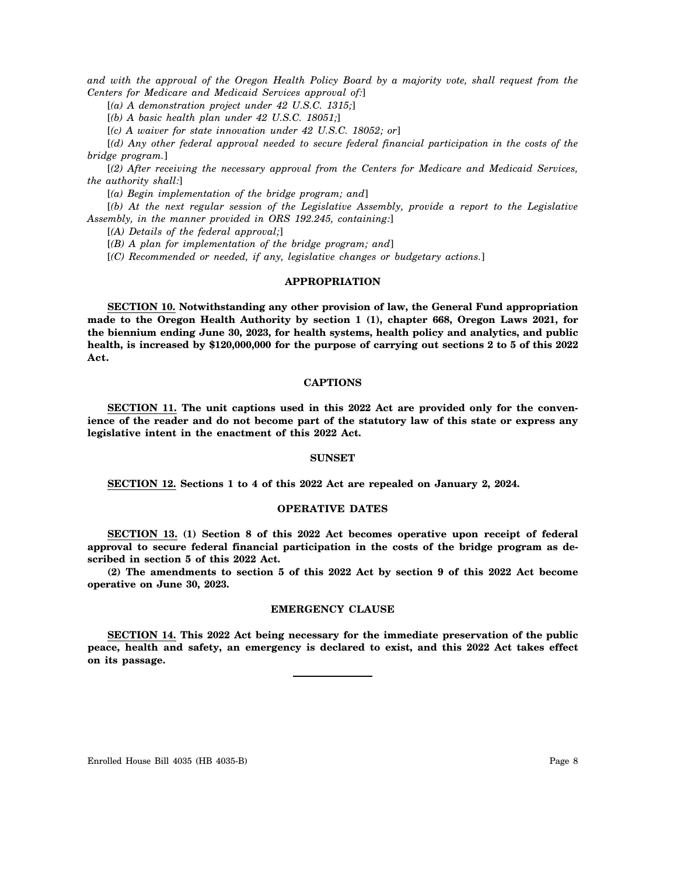*and with the approval of the Oregon Health Policy Board by a majority vote, shall request from the Centers for Medicare and Medicaid Services approval of:*]

[*(a) A demonstration project under 42 U.S.C. 1315;*]

[*(b) A basic health plan under 42 U.S.C. 18051;*]

[*(c) A waiver for state innovation under 42 U.S.C. 18052; or*]

[*(d) Any other federal approval needed to secure federal financial participation in the costs of the bridge program.*]

[*(2) After receiving the necessary approval from the Centers for Medicare and Medicaid Services, the authority shall:*]

[*(a) Begin implementation of the bridge program; and*]

[*(b) At the next regular session of the Legislative Assembly, provide a report to the Legislative Assembly, in the manner provided in ORS 192.245, containing:*]

[*(A) Details of the federal approval;*]

[*(B) A plan for implementation of the bridge program; and*]

[*(C) Recommended or needed, if any, legislative changes or budgetary actions.*]

## **APPROPRIATION**

**SECTION 10. Notwithstanding any other provision of law, the General Fund appropriation made to the Oregon Health Authority by section 1 (1), chapter 668, Oregon Laws 2021, for the biennium ending June 30, 2023, for health systems, health policy and analytics, and public health, is increased by \$120,000,000 for the purpose of carrying out sections 2 to 5 of this 2022 Act.**

## **CAPTIONS**

**SECTION 11. The unit captions used in this 2022 Act are provided only for the convenience of the reader and do not become part of the statutory law of this state or express any legislative intent in the enactment of this 2022 Act.**

#### **SUNSET**

**SECTION 12. Sections 1 to 4 of this 2022 Act are repealed on January 2, 2024.**

#### **OPERATIVE DATES**

**SECTION 13. (1) Section 8 of this 2022 Act becomes operative upon receipt of federal approval to secure federal financial participation in the costs of the bridge program as described in section 5 of this 2022 Act.**

**(2) The amendments to section 5 of this 2022 Act by section 9 of this 2022 Act become operative on June 30, 2023.**

#### **EMERGENCY CLAUSE**

**SECTION 14. This 2022 Act being necessary for the immediate preservation of the public peace, health and safety, an emergency is declared to exist, and this 2022 Act takes effect on its passage.**